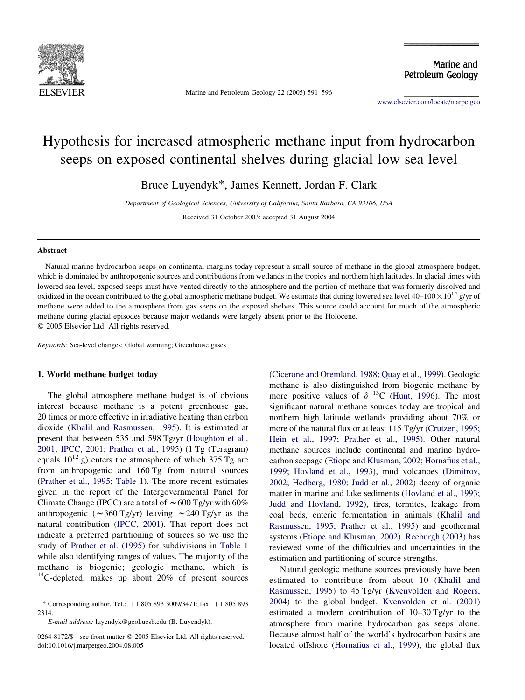

Marine and Petroleum Geology 22 (2005) 591–596

Marine and Petroleum Geology

[www.elsevier.com/locate/marpetgeo](http://www.elsevier.com/locate/marpetgeo)

# Hypothesis for increased atmospheric methane input from hydrocarbon seeps on exposed continental shelves during glacial low sea level

Bruce Luyendyk\*, James Kennett, Jordan F. Clark

Department of Geological Sciences, University of California, Santa Barbara, CA 93106, USA

Received 31 October 2003; accepted 31 August 2004

## Abstract

Natural marine hydrocarbon seeps on continental margins today represent a small source of methane in the global atmosphere budget, which is dominated by anthropogenic sources and contributions from wetlands in the tropics and northern high latitudes. In glacial times with lowered sea level, exposed seeps must have vented directly to the atmosphere and the portion of methane that was formerly dissolved and oxidized in the ocean contributed to the global atmospheric methane budget. We estimate that during lowered sea level 40–100 $\times$ 10<sup>12</sup> g/yr of methane were added to the atmosphere from gas seeps on the exposed shelves. This source could account for much of the atmospheric methane during glacial episodes because major wetlands were largely absent prior to the Holocene.  $© 2005 Elsevier Ltd. All rights reserved.$ 

Keywords: Sea-level changes; Global warming; Greenhouse gases

## 1. World methane budget today

The global atmosphere methane budget is of obvious interest because methane is a potent greenhouse gas, 20 times or more effective in irradiative heating than carbon dioxide [\(Khalil and Rasmussen, 1995](#page-5-0)). It is estimated at present that between 535 and 598 Tg/yr ([Houghton et al.,](#page-5-0) [2001; IPCC, 2001; Prather et al., 1995](#page-5-0)) (1 Tg (Teragram) equals  $10^{12}$  g) enters the atmosphere of which 375 Tg are from anthropogenic and 160 Tg from natural sources ([Prather et al., 1995](#page-5-0); [Table 1](#page-1-0)). The more recent estimates given in the report of the Intergovernmental Panel for Climate Change (IPCC) are a total of  $\sim 600$  Tg/yr with 60% anthropogenic ( $\sim$ 360 Tg/yr) leaving  $\sim$ 240 Tg/yr as the natural contribution ([IPCC, 2001](#page-5-0)). That report does not indicate a preferred partitioning of sources so we use the study of [Prather et al. \(1995\)](#page-5-0) for subdivisions in [Table 1](#page-1-0) while also identifying ranges of values. The majority of the methane is biogenic; geologic methane, which is  $^{14}$ C-depleted, makes up about 20% of present sources ([Cicerone and Oremland, 1988; Quay et al., 1999](#page-4-0)). Geologic methane is also distinguished from biogenic methane by more positive values of  $\delta$  <sup>13</sup>C ([Hunt, 1996](#page-5-0)). The most significant natural methane sources today are tropical and northern high latitude wetlands providing about 70% or more of the natural flux or at least 115 Tg/yr ([Crutzen, 1995;](#page-4-0) [Hein et al., 1997; Prather et al., 1995\)](#page-4-0). Other natural methane sources include continental and marine hydrocarbon seepage ([Etiope and Klusman, 2002; Hornafius et al.,](#page-5-0) [1999; Hovland et al., 1993\)](#page-5-0), mud volcanoes [\(Dimitrov,](#page-4-0) [2002; Hedberg, 1980; Judd et al., 2002](#page-4-0)) decay of organic matter in marine and lake sediments [\(Hovland et al., 1993;](#page-5-0) [Judd and Hovland, 1992](#page-5-0)), fires, termites, leakage from coal beds, enteric fermentation in animals [\(Khalil and](#page-5-0) [Rasmussen, 1995; Prather et al., 1995](#page-5-0)) and geothermal systems [\(Etiope and Klusman, 2002](#page-5-0)). [Reeburgh \(2003\)](#page-5-0) has reviewed some of the difficulties and uncertainties in the estimation and partitioning of source strengths.

Natural geologic methane sources previously have been estimated to contribute from about 10 ([Khalil and](#page-5-0) [Rasmussen, 1995\)](#page-5-0) to 45 Tg/yr [\(Kvenvolden and Rogers,](#page-5-0) [2004](#page-5-0)) to the global budget. [Kvenvolden et al. \(2001\)](#page-5-0) estimated a modern contribution of 10–30 Tg/yr to the atmosphere from marine hydrocarbon gas seeps alone. Because almost half of the world's hydrocarbon basins are located offshore ([Hornafius et al., 1999](#page-5-0)), the global flux

<sup>\*</sup> Corresponding author. Tel.:  $+18058933009/3471$ ; fax:  $+1805893$ 2314.

E-mail address: luyendyk@geol.ucsb.edu (B. Luyendyk).

<sup>0264-8172/\$ -</sup> see front matter © 2005 Elsevier Ltd. All rights reserved. doi:10.1016/j.marpetgeo.2004.08.005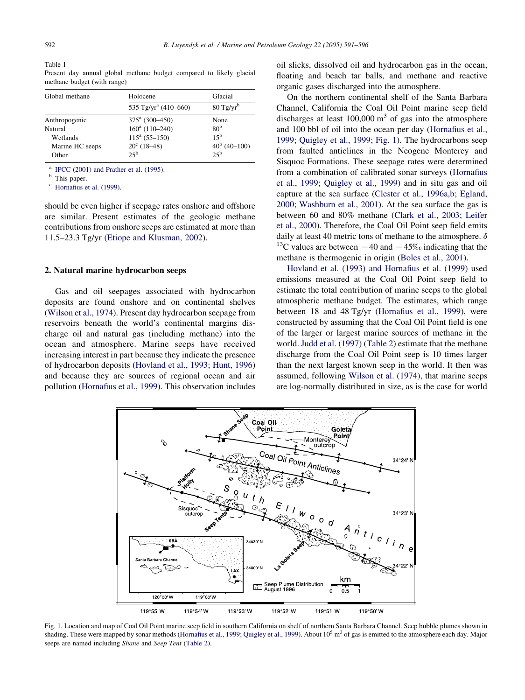<span id="page-1-0"></span>Table 1 Present day annual global methane budget compared to likely glacial methane budget (with range)

| Global methane  | Holocene                         | Glacial              |  |
|-----------------|----------------------------------|----------------------|--|
|                 | 535 Tg/yr <sup>a</sup> (410–660) | $80 \text{ Tg/yr}^b$ |  |
| Anthropogenic   | $375^{\circ}$ (300-450)          | None                 |  |
| Natural         | $160^a$ (110-240)                | 80 <sup>b</sup>      |  |
| Wetlands        | $115^a$ (55-150)                 | $15^{\rm b}$         |  |
| Marine HC seeps | $20^{\circ}$ (18-48)             | $40^b$ (40-100)      |  |
| Other           | $25^{\rm b}$                     | $25^{\rm b}$         |  |

<sup>a</sup> [IPCC \(2001\) and Prather et al. \(1995\)](#page-5-0).<br><sup>b</sup> This paper.

[Hornafius et al. \(1999\).](#page-5-0)

should be even higher if seepage rates onshore and offshore are similar. Present estimates of the geologic methane contributions from onshore seeps are estimated at more than 11.5–23.3 Tg/yr ([Etiope and Klusman, 2002\)](#page-5-0).

#### 2. Natural marine hydrocarbon seeps

Gas and oil seepages associated with hydrocarbon deposits are found onshore and on continental shelves ([Wilson et al., 1974](#page-5-0)). Present day hydrocarbon seepage from reservoirs beneath the world's continental margins discharge oil and natural gas (including methane) into the ocean and atmosphere. Marine seeps have received increasing interest in part because they indicate the presence of hydrocarbon deposits ([Hovland et al., 1993; Hunt, 1996](#page-5-0)) and because they are sources of regional ocean and air pollution ([Hornafius et al., 1999\)](#page-5-0). This observation includes oil slicks, dissolved oil and hydrocarbon gas in the ocean, floating and beach tar balls, and methane and reactive organic gases discharged into the atmosphere.

On the northern continental shelf of the Santa Barbara Channel, California the Coal Oil Point marine seep field discharges at least  $100,000 \text{ m}^3$  of gas into the atmosphere and 100 bbl of oil into the ocean per day ([Hornafius et al.,](#page-5-0) [1999; Quigley et al., 1999](#page-5-0); Fig. 1). The hydrocarbons seep from faulted anticlines in the Neogene Monterey and Sisquoc Formations. These seepage rates were determined from a combination of calibrated sonar surveys [\(Hornafius](#page-5-0) [et al., 1999; Quigley et al., 1999](#page-5-0)) and in situ gas and oil capture at the sea surface [\(Clester et al., 1996a,b; Egland,](#page-4-0) [2000; Washburn et al., 2001](#page-4-0)). At the sea surface the gas is between 60 and 80% methane [\(Clark et al., 2003; Leifer](#page-4-0) [et al., 2000](#page-4-0)). Therefore, the Coal Oil Point seep field emits daily at least 40 metric tons of methane to the atmosphere.  $\delta$ <sup>13</sup>C values are between  $-40$  and  $-45%$  indicating that the methane is thermogenic in origin [\(Boles et al., 2001\)](#page-4-0).

[Hovland et al. \(1993\) and Hornafius et al. \(1999\)](#page-5-0) used emissions measured at the Coal Oil Point seep field to estimate the total contribution of marine seeps to the global atmospheric methane budget. The estimates, which range between 18 and 48 Tg/yr [\(Hornafius et al., 1999\)](#page-5-0), were constructed by assuming that the Coal Oil Point field is one of the larger or largest marine sources of methane in the world. [Judd et al. \(1997\)](#page-5-0) ([Table 2](#page-2-0)) estimate that the methane discharge from the Coal Oil Point seep is 10 times larger than the next largest known seep in the world. It then was assumed, following [Wilson et al. \(1974\),](#page-5-0) that marine seeps are log-normally distributed in size, as is the case for world



Fig. 1. Location and map of Coal Oil Point marine seep field in southern California on shelf of northern Santa Barbara Channel. Seep bubble plumes shown in shading. These were mapped by sonar methods [\(Hornafius et al., 1999; Quigley et al., 1999](#page-5-0)). About  $10^5$  m<sup>3</sup> of gas is emitted to the atmosphere each day. Major seeps are named including Shane and Seep Tent [\(Table 2\)](#page-2-0).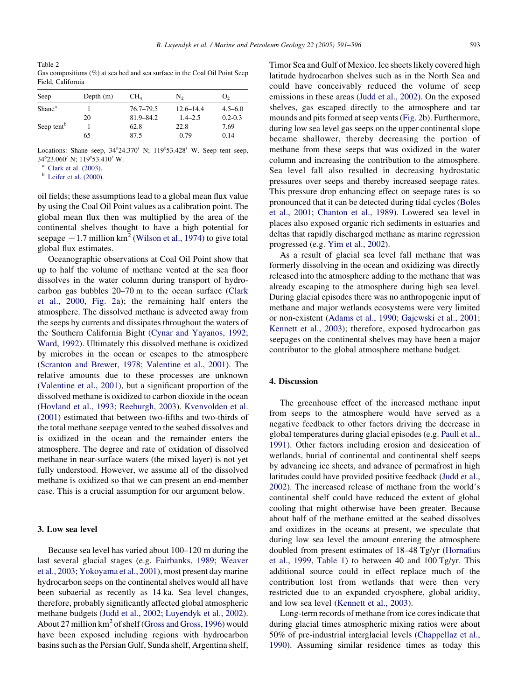<span id="page-2-0"></span>Table 2 Gas compositions (%) at sea bed and sea surface in the Coal Oil Point Seep Field, California

| Seep                   | Depth $(m)$ | CH <sub>4</sub> | N2            | O <sub>2</sub> |
|------------------------|-------------|-----------------|---------------|----------------|
| Shane <sup>a</sup>     |             | $76.7 - 79.5$   | $12.6 - 14.4$ | $4.5 - 6.0$    |
|                        | 20          | $81.9 - 84.2$   | $1.4 - 2.5$   | $0.2 - 0.3$    |
| Seep tent <sup>b</sup> |             | 62.8            | 22.8          | 7.69           |
|                        | 65          | 87.5            | 0.79          | 0.14           |

Locations: Shane seep,  $34^{\circ}24.370'$  N;  $119^{\circ}53.428'$  W. Seep tent seep, 34°23.060' N; 119°53.410' W.<br><sup>a</sup> [Clark et al. \(2003\)](#page-4-0).<br><sup>b</sup> [Leifer et al. \(2000\).](#page-5-0)

oil fields; these assumptions lead to a global mean flux value by using the Coal Oil Point values as a calibration point. The global mean flux then was multiplied by the area of the continental shelves thought to have a high potential for seepage  $-1.7$  million km<sup>2</sup> [\(Wilson et al., 1974\)](#page-5-0) to give total global flux estimates.

Oceanographic observations at Coal Oil Point show that up to half the volume of methane vented at the sea floor dissolves in the water column during transport of hydrocarbon gas bubbles 20–70 m to the ocean surface [\(Clark](#page-4-0) [et al., 2000,](#page-4-0) [Fig. 2](#page-3-0)a); the remaining half enters the atmosphere. The dissolved methane is advected away from the seeps by currents and dissipates throughout the waters of the Southern California Bight ([Cynar and Yayanos, 1992;](#page-4-0) [Ward, 1992\)](#page-4-0). Ultimately this dissolved methane is oxidized by microbes in the ocean or escapes to the atmosphere ([Scranton and Brewer, 1978; Valentine et al., 2001](#page-5-0)). The relative amounts due to these processes are unknown ([Valentine et al., 2001](#page-5-0)), but a significant proportion of the dissolved methane is oxidized to carbon dioxide in the ocean ([Hovland et al., 1993; Reeburgh, 2003](#page-5-0)). [Kvenvolden et al.](#page-5-0) [\(2001\)](#page-5-0) estimated that between two-fifths and two-thirds of the total methane seepage vented to the seabed dissolves and is oxidized in the ocean and the remainder enters the atmosphere. The degree and rate of oxidation of dissolved methane in near-surface waters (the mixed layer) is not yet fully understood. However, we assume all of the dissolved methane is oxidized so that we can present an end-member case. This is a crucial assumption for our argument below.

#### 3. Low sea level

Because sea level has varied about 100–120 m during the last several glacial stages (e.g. [Fairbanks, 1989; Weaver](#page-5-0) [et al., 2003; Yokoyama et al., 2001](#page-5-0)), most present day marine hydrocarbon seeps on the continental shelves would all have been subaerial as recently as 14 ka. Sea level changes, therefore, probably significantly affected global atmospheric methane budgets [\(Judd et al., 2002; Luyendyk et al., 2002\)](#page-5-0). About 27 million  $km^2$  of shelf ([Gross and Gross, 1996\)](#page-5-0) would have been exposed including regions with hydrocarbon basins such as the Persian Gulf, Sunda shelf, Argentina shelf,

Timor Sea and Gulf of Mexico. Ice sheets likely covered high latitude hydrocarbon shelves such as in the North Sea and could have conceivably reduced the volume of seep emissions in these areas ([Judd et al., 2002\)](#page-5-0). On the exposed shelves, gas escaped directly to the atmosphere and tar mounds and pits formed at seep vents ([Fig. 2b](#page-3-0)). Furthermore, during low sea level gas seeps on the upper continental slope became shallower, thereby decreasing the portion of methane from these seeps that was oxidized in the water column and increasing the contribution to the atmosphere. Sea level fall also resulted in decreasing hydrostatic pressures over seeps and thereby increased seepage rates. This pressure drop enhancing effect on seepage rates is so pronounced that it can be detected during tidal cycles ([Boles](#page-4-0) [et al., 2001; Chanton et al., 1989](#page-4-0)). Lowered sea level in places also exposed organic rich sediments in estuaries and deltas that rapidly discharged methane as marine regression progressed (e.g. [Yim et al., 2002\)](#page-5-0).

As a result of glacial sea level fall methane that was formerly dissolving in the ocean and oxidizing was directly released into the atmosphere adding to the methane that was already escaping to the atmosphere during high sea level. During glacial episodes there was no anthropogenic input of methane and major wetlands ecosystems were very limited or non-existent ([Adams et al., 1990; Gajewski et al., 2001;](#page-4-0) [Kennett et al., 2003](#page-4-0)); therefore, exposed hydrocarbon gas seepages on the continental shelves may have been a major contributor to the global atmosphere methane budget.

## 4. Discussion

The greenhouse effect of the increased methane input from seeps to the atmosphere would have served as a negative feedback to other factors driving the decrease in global temperatures during glacial episodes (e.g. [Paull et al.,](#page-5-0) [1991](#page-5-0)). Other factors including erosion and desiccation of wetlands, burial of continental and continental shelf seeps by advancing ice sheets, and advance of permafrost in high latitudes could have provided positive feedback ([Judd et al.,](#page-5-0) [2002](#page-5-0)). The increased release of methane from the world's continental shelf could have reduced the extent of global cooling that might otherwise have been greater. Because about half of the methane emitted at the seabed dissolves and oxidizes in the oceans at present, we speculate that during low sea level the amount entering the atmosphere doubled from present estimates of 18–48 Tg/yr [\(Hornafius](#page-5-0) [et al., 1999](#page-5-0), [Table 1\)](#page-1-0) to between 40 and 100 Tg/yr. This additional source could in effect replace much of the contribution lost from wetlands that were then very restricted due to an expanded cryosphere, global aridity, and low sea level ([Kennett et al., 2003\)](#page-5-0).

Long-term records of methane from ice cores indicate that during glacial times atmospheric mixing ratios were about 50% of pre-industrial interglacial levels ([Chappellaz et al.,](#page-4-0) [1990](#page-4-0)). Assuming similar residence times as today this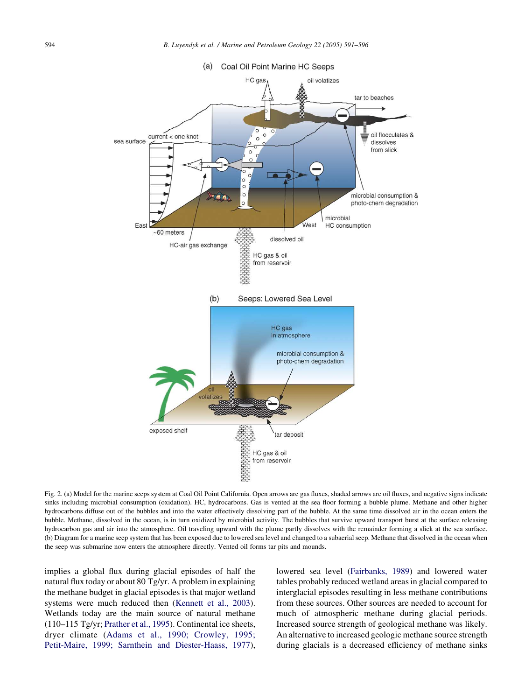<span id="page-3-0"></span>

Fig. 2. (a) Model for the marine seeps system at Coal Oil Point California. Open arrows are gas fluxes, shaded arrows are oil fluxes, and negative signs indicate sinks including microbial consumption (oxidation). HC, hydrocarbons. Gas is vented at the sea floor forming a bubble plume. Methane and other higher hydrocarbons diffuse out of the bubbles and into the water effectively dissolving part of the bubble. At the same time dissolved air in the ocean enters the bubble. Methane, dissolved in the ocean, is in turn oxidized by microbial activity. The bubbles that survive upward transport burst at the surface releasing hydrocarbon gas and air into the atmosphere. Oil traveling upward with the plume partly dissolves with the remainder forming a slick at the sea surface. (b) Diagram for a marine seep system that has been exposed due to lowered sea level and changed to a subaerial seep. Methane that dissolved in the ocean when the seep was submarine now enters the atmosphere directly. Vented oil forms tar pits and mounds.

implies a global flux during glacial episodes of half the natural flux today or about 80 Tg/yr. A problem in explaining the methane budget in glacial episodes is that major wetland systems were much reduced then [\(Kennett et al., 2003\)](#page-5-0). Wetlands today are the main source of natural methane (110–115 Tg/yr; [Prather et al., 1995\)](#page-5-0). Continental ice sheets, dryer climate ([Adams et al., 1990; Crowley, 1995;](#page-4-0) [Petit-Maire, 1999; Sarnthein and Diester-Haass, 1977\)](#page-4-0), lowered sea level [\(Fairbanks, 1989\)](#page-5-0) and lowered water tables probably reduced wetland areas in glacial compared to interglacial episodes resulting in less methane contributions from these sources. Other sources are needed to account for much of atmospheric methane during glacial periods. Increased source strength of geological methane was likely. An alternative to increased geologic methane source strength during glacials is a decreased efficiency of methane sinks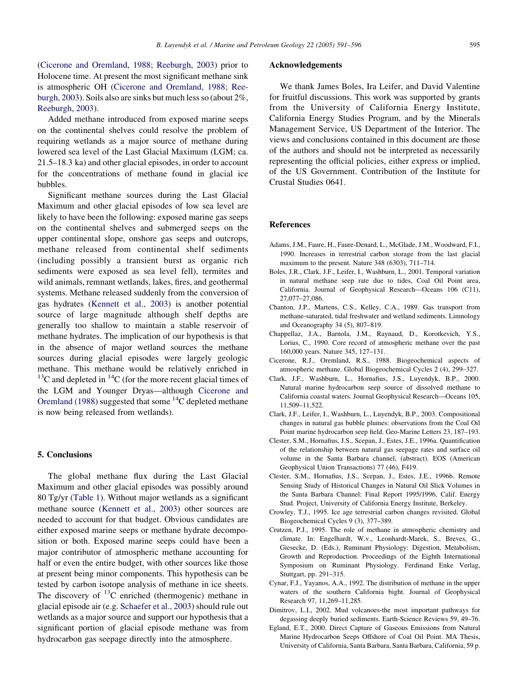<span id="page-4-0"></span>(Cicerone and Oremland, 1988; Reeburgh, 2003) prior to Holocene time. At present the most significant methane sink is atmospheric OH (Cicerone and Oremland, 1988; Reeburgh, 2003). Soils also are sinks but much less so (about 2%, [Reeburgh, 2003](#page-5-0)).

Added methane introduced from exposed marine seeps on the continental shelves could resolve the problem of requiring wetlands as a major source of methane during lowered sea level of the Last Glacial Maximum (LGM; ca. 21.5–18.3 ka) and other glacial episodes, in order to account for the concentrations of methane found in glacial ice bubbles.

Significant methane sources during the Last Glacial Maximum and other glacial episodes of low sea level are likely to have been the following: exposed marine gas seeps on the continental shelves and submerged seeps on the upper continental slope, onshore gas seeps and outcrops, methane released from continental shelf sediments (including possibly a transient burst as organic rich sediments were exposed as sea level fell), termites and wild animals, remnant wetlands, lakes, fires, and geothermal systems. Methane released suddenly from the conversion of gas hydrates ([Kennett et al., 2003\)](#page-5-0) is another potential source of large magnitude although shelf depths are generally too shallow to maintain a stable reservoir of methane hydrates. The implication of our hypothesis is that in the absence of major wetland sources the methane sources during glacial episodes were largely geologic methane. This methane would be relatively enriched in  $13^{\circ}$ C and depleted in  $14^{\circ}$ C (for the more recent glacial times of the LGM and Younger Dryas—although Cicerone and Oremland (1988) suggested that some 14C depleted methane is now being released from wetlands).

### 5. Conclusions

The global methane flux during the Last Glacial Maximum and other glacial episodes was possibly around 80 Tg/yr [\(Table 1\)](#page-1-0). Without major wetlands as a significant methane source ([Kennett et al., 2003](#page-5-0)) other sources are needed to account for that budget. Obvious candidates are either exposed marine seeps or methane hydrate decomposition or both. Exposed marine seeps could have been a major contributor of atmospheric methane accounting for half or even the entire budget, with other sources like those at present being minor components. This hypothesis can be tested by carbon isotope analysis of methane in ice sheets. The discovery of  $^{13}$ C enriched (thermogenic) methane in glacial episode air (e.g. [Schaefer et al., 2003](#page-5-0)) should rule out wetlands as a major source and support our hypothesis that a significant portion of glacial episode methane was from hydrocarbon gas seepage directly into the atmosphere.

## Acknowledgements

We thank James Boles, Ira Leifer, and David Valentine for fruitful discussions. This work was supported by grants from the University of California Energy Institute, California Energy Studies Program, and by the Minerals Management Service, US Department of the Interior. The views and conclusions contained in this document are those of the authors and should not be interpreted as necessarily representing the official policies, either express or implied, of the US Government. Contribution of the Institute for Crustal Studies 0641.

## References

- Adams, J.M., Faure, H., Faure-Denard, L., McGlade, J.M., Woodward, F.I., 1990. Increases in terrestrial carbon storage from the last glacial maximum to the present. Nature 348 (6303), 711–714.
- Boles, J.R., Clark, J.F., Leifer, I., Washburn, L., 2001. Temporal variation in natural methane seep rate due to tides, Coal Oil Point area, California. Journal of Geophysical Research—Oceans 106 (C11), 27,077–27,086.
- Chanton, J.P., Martens, C.S., Kelley, C.A., 1989. Gas transport from methane-saturated, tidal freshwater and wetland sediments. Limnology and Oceanography 34 (5), 807–819.
- Chappellaz, J.A., Barnola, J.M., Raynaud, D., Korotkevich, Y.S., Lorius, C., 1990. Core record of atmospheric methane over the past 160,000 years. Nature 345, 127–131.
- Cicerone, R.J., Oremland, R.S., 1988. Biogeochemical aspects of atmospheric methane. Global Biogeochemical Cycles 2 (4), 299–327.
- Clark, J.F., Washburn, L., Hornafius, J.S., Luyendyk, B.P., 2000. Natural marine hydrocarbon seep source of dissolved methane to California coastal waters. Journal Geophysical Research—Oceans 105, 11,509–11,522.
- Clark, J.F., Leifer, I., Washburn, L., Luyendyk, B.P., 2003. Compositional changes in natural gas bubble plumes: observations from the Coal Oil Point marine hydrocarbon seep field. Geo-Marine Letters 23, 187–193.
- Clester, S.M., Hornafius, J.S., Scepan, J., Estes, J.E., 1996a. Quantification of the relationship between natural gas seepage rates and surface oil volume in the Santa Barbara channel, (abstract). EOS (American Geophysical Union Transactions) 77 (46), F419.
- Clester, S.M., Hornafius, J.S., Scepan, J., Estes, J.E., 1996b. Remote Sensing Study of Historical Changes in Natural Oil Slick Volumes in the Santa Barbara Channel: Final Report 1995/1996, Calif. Energy Stud. Project, University of California Energy Institute, Berkeley.
- Crowley, T.J., 1995. Ice age terrestrial carbon changes revisited. Global Biogeochemical Cycles 9 (3), 377–389.
- Crutzen, P.J., 1995. The role of methane in atmospheric chemistry and climate. In: Engelhardt, W.v., Leonhardt-Marek, S., Breves, G., Giesecke, D. (Eds.), Ruminant Physiology: Digestion, Metabolism, Growth and Reproduction. Proceedings of the Eighth International Symposium on Ruminant Physiology. Ferdinand Enke Verlag, Stuttgart, pp. 291–315.
- Cynar, F.J., Yayanos, A.A., 1992. The distribution of methane in the upper waters of the southern California bight. Journal of Geophysical Research 97, 11,269–11,285.
- Dimitrov, L.I., 2002. Mud volcanoes-the most important pathways for degassing deeply buried sediments. Earth-Science Reviews 59, 49–76.
- Egland, E.T., 2000. Direct Capture of Gaseous Emissions from Natural Marine Hydrocarbon Seeps Offshore of Coal Oil Point. MA Thesis, University of California, Santa Barbara, Santa Barbara, California, 59 p.